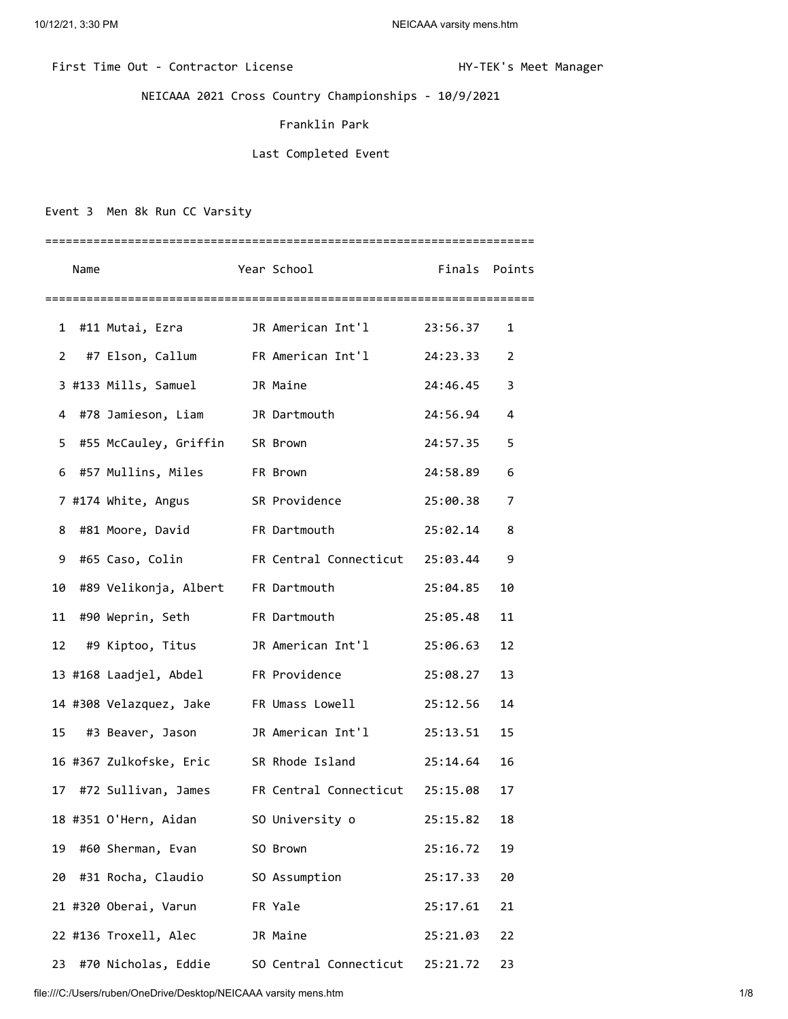## First Time Out - Contractor License Manager Manager HY-TEK's Meet Manager

NEICAAA 2021 Cross Country Championships - 10/9/2021

## Franklin Park

## Last Completed Event

Event 3 Men 8k Run CC Varsity

|    | Name |                                         | Year School                                                 | Finals Points |    |
|----|------|-----------------------------------------|-------------------------------------------------------------|---------------|----|
|    |      |                                         |                                                             |               |    |
| 1  |      | #11 Mutai, Ezra                         | JR American Int'l 23:56.37                                  |               | 1  |
| 2  |      |                                         | #7 Elson, Callum FR American Int'l                          | 24:23.33      | 2  |
|    |      | 3 #133 Mills, Samuel 3R Maine           |                                                             | 24:46.45      | 3  |
| 4  |      | #78 Jamieson, Liam JR Dartmouth         |                                                             | 24:56.94      | 4  |
| 5  |      | #55 McCauley, Griffin SR Brown          |                                                             | 24:57.35      | 5  |
| 6  |      | #57 Mullins, Miles FR Brown             |                                                             | 24:58.89      | 6  |
|    |      | 7 #174 White, Angus SR Providence       |                                                             | 25:00.38      | 7  |
| 8  |      | #81 Moore, David FR Dartmouth           |                                                             | 25:02.14      | 8  |
| 9  |      |                                         | #65 Caso, Colin FR Central Connecticut 25:03.44             |               | 9  |
|    |      | 10 #89 Velikonja, Albert FR Dartmouth   |                                                             | 25:04.85      | 10 |
|    |      | 11 #90 Weprin, Seth FR Dartmouth        |                                                             | 25:05.48      | 11 |
| 12 |      |                                         | #9 Kiptoo, Titus         JR American Int'l         25:06.63 |               | 12 |
|    |      | 13 #168 Laadjel, Abdel FR Providence    |                                                             | 25:08.27      | 13 |
|    |      | 14 #308 Velazquez, Jake FR Umass Lowell |                                                             | 25:12.56      | 14 |
|    |      |                                         | 15 #3 Beaver, Jason JR American Int'l 25:13.51              |               | 15 |
|    |      |                                         | 16 #367 Zulkofske, Eric SR Rhode Island 25:14.64            |               | 16 |
|    |      |                                         | 17 #72 Sullivan, James FR Central Connecticut 25:15.08      |               | 17 |
|    |      | 18 #351 O'Hern, Aidan                   | SO University o                                             | 25:15.82      | 18 |
| 19 |      | #60 Sherman, Evan                       | SO Brown                                                    | 25:16.72      | 19 |
| 20 |      | #31 Rocha, Claudio                      | SO Assumption                                               | 25:17.33      | 20 |
|    |      | 21 #320 Oberai, Varun                   | FR Yale                                                     | 25:17.61      | 21 |
|    |      | 22 #136 Troxell, Alec                   | JR Maine                                                    | 25:21.03      | 22 |
| 23 |      | #70 Nicholas, Eddie                     | SO Central Connecticut                                      | 25:21.72      | 23 |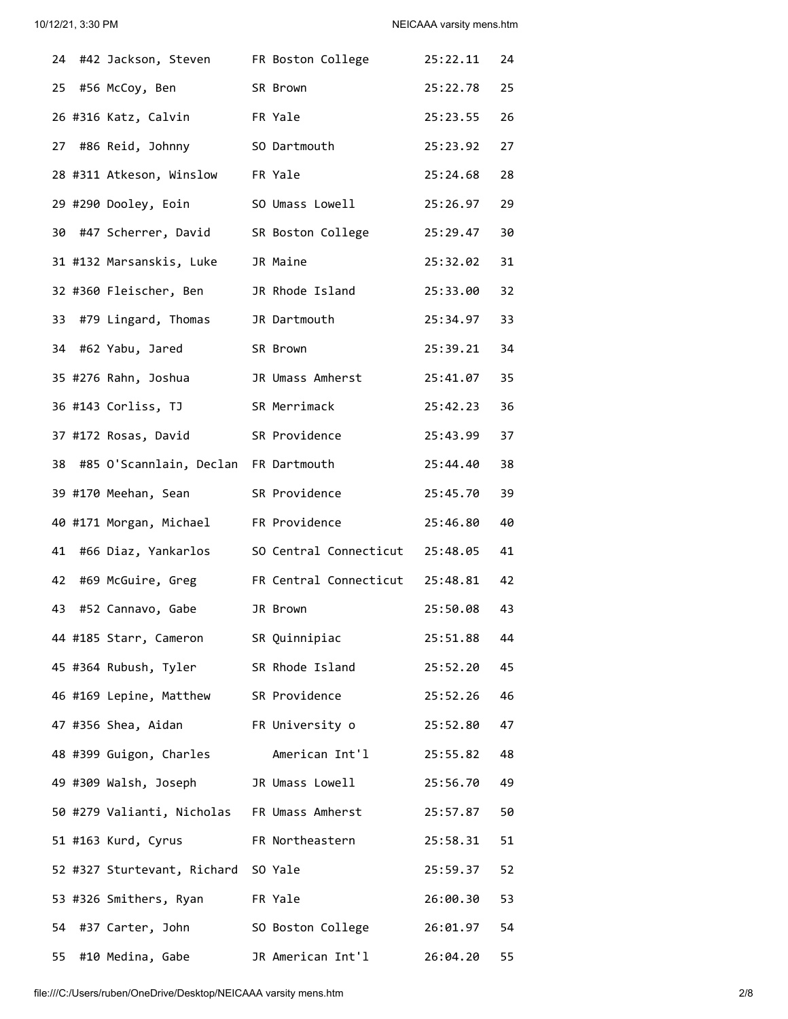|    |                                             | 24 #42 Jackson, Steven FR Boston College           | 25:22.11    | 24 |
|----|---------------------------------------------|----------------------------------------------------|-------------|----|
|    | 25 #56 McCoy, Ben                           | SR Brown                                           | 25:22.78    | 25 |
|    | 26 #316 Katz, Calvin                        | FR Yale                                            | 25:23.55    | 26 |
|    | 27 #86 Reid, Johnny                         | SO Dartmouth                                       | 25:23.92 27 |    |
|    | 28 #311 Atkeson, Winslow FR Yale            |                                                    | 25:24.68    | 28 |
|    | 29 #290 Dooley, Eoin                        | SO Umass Lowell                                    | 25:26.97    | 29 |
|    | 30 #47 Scherrer, David                      | SR Boston College                                  | 25:29.47    | 30 |
|    | 31 #132 Marsanskis, Luke                    | JR Maine                                           | 25:32.02    | 31 |
|    | 32 #360 Fleischer, Ben                      | JR Rhode Island                                    | 25:33.00    | 32 |
|    | 33 #79 Lingard, Thomas                      | JR Dartmouth                                       | 25:34.97    | 33 |
|    | 34 #62 Yabu, Jared                          | SR Brown                                           | 25:39.21 34 |    |
|    | 35 #276 Rahn, Joshua                        | JR Umass Amherst                                   | 25:41.07 35 |    |
|    | 36 #143 Corliss, TJ                         | SR Merrimack                                       | 25:42.23 36 |    |
|    | 37 #172 Rosas, David                        | SR Providence                                      | 25:43.99    | 37 |
|    | 38 #85 O'Scannlain, Declan FR Dartmouth     |                                                    | 25:44.40    | 38 |
|    | 39 #170 Meehan, Sean                        | SR Providence                                      | 25:45.70    | 39 |
|    | 40 #171 Morgan, Michael                     | FR Providence                                      | 25:46.80    | 40 |
| 41 | #66 Diaz, Yankarlos                         | SO Central Connecticut 25:48.05                    |             | 41 |
|    | 42 #69 McGuire, Greg                        | FR Central Connecticut 25:48.81                    |             | 42 |
|    | 43 #52 Cannavo, Gabe                        | JR Brown                                           | 25:50.08    | 43 |
|    | 44 #185 Starr, Cameron                      | SR Quinnipiac                                      | 25:51.88    | 44 |
|    | 45 #364 Rubush, Tyler                       | SR Rhode Island                                    | 25:52.20 45 |    |
|    | 46 #169 Lepine, Matthew SR Providence       |                                                    | 25:52.26 46 |    |
|    |                                             | 47 #356 Shea, Aidan FR University o 25:52.80 47    |             |    |
|    |                                             | 48 #399 Guigon, Charles American Int'l 25:55.82 48 |             |    |
|    |                                             | 49 #309 Walsh, Joseph         JR Umass Lowell      | 25:56.70 49 |    |
|    | 50 #279 Valianti, Nicholas FR Umass Amherst |                                                    | 25:57.87 50 |    |
|    | 51 #163 Kurd, Cyrus                         | FR Northeastern                                    | 25:58.31 51 |    |
|    | 52 #327 Sturtevant, Richard SO Yale         |                                                    | 25:59.37 52 |    |
|    | 53 #326 Smithers, Ryan                      | FR Yale                                            | 26:00.30 53 |    |
|    | 54 #37 Carter, John                         | SO Boston College 26:01.97 54                      |             |    |
|    | 55 #10 Medina, Gabe                         | JR American Int'l                                  | 26:04.20    | 55 |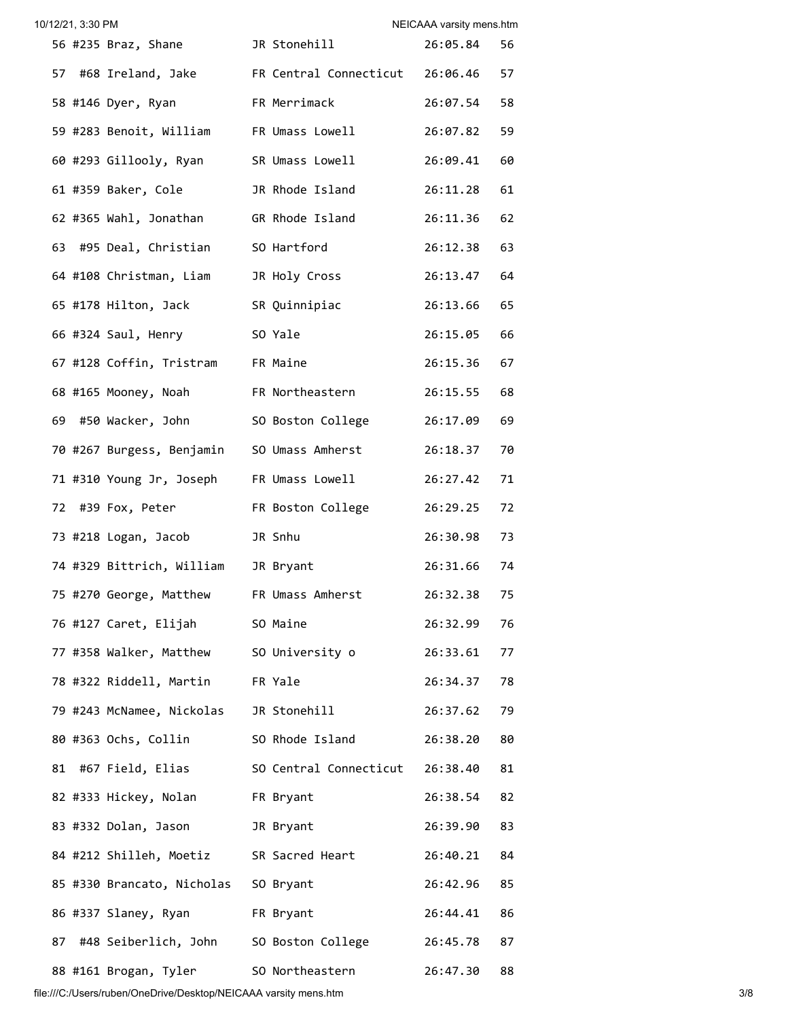|    | 10/12/21, 3:30 PM |                                                         |                                 | NEICAAA varsity mens.htm |    |
|----|-------------------|---------------------------------------------------------|---------------------------------|--------------------------|----|
|    |                   | 56 #235 Braz, Shane JR Stonehill                        |                                 | 26:05.84                 | 56 |
|    |                   | 57 #68 Ireland, Jake FR Central Connecticut 26:06.46 57 |                                 |                          |    |
|    |                   | 58 #146 Dyer, Ryan                                      | FR Merrimack                    | 26:07.54 58              |    |
|    |                   | 59 #283 Benoit, William FR Umass Lowell                 |                                 | 26:07.82                 | 59 |
|    |                   | 60 #293 Gillooly, Ryan SR Umass Lowell                  |                                 | 26:09.41 60              |    |
|    |                   | 61 #359 Baker, Cole                                     | JR Rhode Island                 | 26:11.28 61              |    |
|    |                   | 62 #365 Wahl, Jonathan GR Rhode Island                  |                                 | 26:11.36 62              |    |
|    |                   | 63 #95 Deal, Christian SO Hartford                      |                                 | 26:12.38 63              |    |
|    |                   | 64 #108 Christman, Liam JR Holy Cross                   |                                 | 26:13.47 64              |    |
|    |                   | 65 #178 Hilton, Jack SR Quinnipiac                      |                                 | 26:13.66 65              |    |
|    |                   | 66 #324 Saul, Henry                                     | SO Yale                         | 26:15.05 66              |    |
|    |                   | 67 #128 Coffin, Tristram FR Maine                       |                                 | 26:15.36 67              |    |
|    |                   | 68 #165 Mooney, Noah FR Northeastern                    |                                 | 26:15.55 68              |    |
|    |                   | 69 #50 Wacker, John SO Boston College                   |                                 | 26:17.09 69              |    |
|    |                   | 70 #267 Burgess, Benjamin SO Umass Amherst              |                                 | 26:18.37 70              |    |
|    |                   | 71 #310 Young Jr, Joseph FR Umass Lowell                |                                 | 26:27.42 71              |    |
|    |                   | 72 #39 Fox, Peter FR Boston College                     |                                 | 26:29.25 72              |    |
|    |                   | 73 #218 Logan, Jacob                                    | JR Snhu                         | 26:30.98 73              |    |
|    |                   | 74 #329 Bittrich, William JR Bryant                     |                                 | 26:31.66 74              |    |
|    |                   | 75 #270 George, Matthew FR Umass Amherst 26:32.38 75    |                                 |                          |    |
|    |                   | 76 #127 Caret, Elijah SO Maine                          |                                 | 26:32.99                 | 76 |
|    |                   | 77 #358 Walker, Matthew SO University o                 |                                 | 26:33.61 77              |    |
|    |                   | 78 #322 Riddell, Martin FR Yale                         |                                 | 26:34.37 78              |    |
|    |                   | 79 #243 McNamee, Nickolas JR Stonehill                  |                                 | 26:37.62 79              |    |
|    |                   | 80 #363 Ochs, Collin SO Rhode Island                    |                                 | 26:38.20                 | 80 |
| 81 |                   | #67 Field, Elias                                        | SO Central Connecticut 26:38.40 |                          | 81 |
|    |                   | 82 #333 Hickey, Nolan FR Bryant                         |                                 | 26:38.54                 | 82 |
|    |                   | 83 #332 Dolan, Jason JR Bryant                          |                                 | 26:39.90                 | 83 |
|    |                   | 84 #212 Shilleh, Moetiz SR Sacred Heart                 |                                 | 26:40.21 84              |    |
|    |                   | 85 #330 Brancato, Nicholas SO Bryant                    |                                 | 26:42.96 85              |    |
|    |                   | 86 #337 Slaney, Ryan                                    | FR Bryant                       | 26:44.41                 | 86 |
|    |                   | 87 #48 Seiberlich, John SO Boston College               |                                 | 26:45.78                 | 87 |
|    |                   | 88 #161 Brogan, Tyler                                   | SO Northeastern                 | 26:47.30                 | 88 |

file:///C:/Users/ruben/OneDrive/Desktop/NEICAAA varsity mens.htm 3/8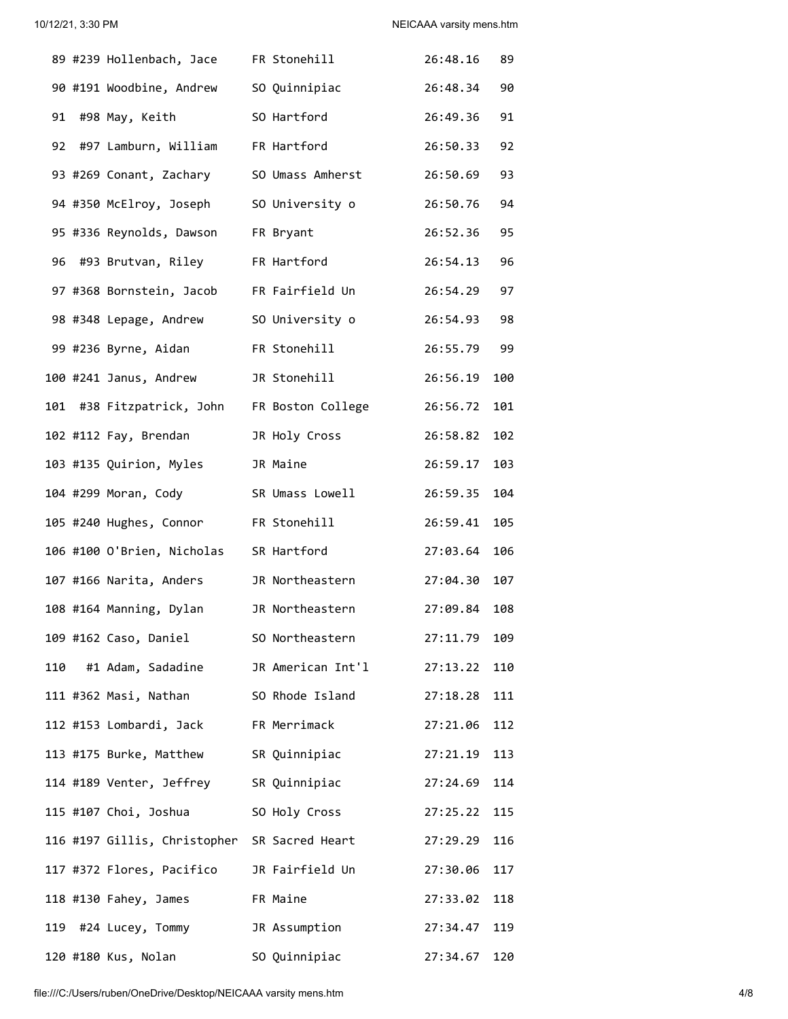|     | 89 #239 Hollenbach, Jace FR Stonehill         |                                                 | 26:48.16     | 89  |
|-----|-----------------------------------------------|-------------------------------------------------|--------------|-----|
|     | 90 #191 Woodbine, Andrew SO Quinnipiac        |                                                 | 26:48.34 90  |     |
|     |                                               | 91 #98 May, Keith SO Hartford                   | 26:49.36 91  |     |
|     | 92 #97 Lamburn, William FR Hartford           |                                                 | 26:50.33 92  |     |
|     | 93 #269 Conant, Zachary SO Umass Amherst      |                                                 | 26:50.69 93  |     |
|     | 94 #350 McElroy, Joseph SO University o       |                                                 | 26:50.76 94  |     |
|     | 95 #336 Reynolds, Dawson FR Bryant            |                                                 | 26:52.36 95  |     |
|     | 96 #93 Brutvan, Riley FR Hartford             |                                                 | 26:54.13 96  |     |
|     | 97 #368 Bornstein, Jacob FR Fairfield Un      |                                                 | 26:54.29 97  |     |
|     | 98 #348 Lepage, Andrew SO University o        |                                                 | 26:54.93 98  |     |
|     | 99 #236 Byrne, Aidan FR Stonehill             |                                                 | 26:55.79 99  |     |
|     | 100 #241 Janus, Andrew JR Stonehill           |                                                 | 26:56.19 100 |     |
|     | 101 #38 Fitzpatrick, John FR Boston College   |                                                 | 26:56.72 101 |     |
|     | 102 #112 Fay, Brendan         JR Holy Cross   |                                                 | 26:58.82 102 |     |
|     | 103 #135 Quirion, Myles JR Maine              |                                                 | 26:59.17 103 |     |
|     | 104 #299 Moran, Cody                          | SR Umass Lowell                                 | 26:59.35 104 |     |
|     | 105 #240 Hughes, Connor FR Stonehill          |                                                 | 26:59.41 105 |     |
|     | 106 #100 O'Brien, Nicholas SR Hartford        |                                                 | 27:03.64 106 |     |
|     | 107 #166 Narita, Anders JR Northeastern       |                                                 | 27:04.30 107 |     |
|     | 108 #164 Manning, Dylan                       | JR Northeastern                                 | 27:09.84 108 |     |
|     | 109 #162 Caso, Daniel SO Northeastern         |                                                 | 27:11.79     | 109 |
| 110 |                                               | #1 Adam, Sadadine JR American Int'l             | 27:13.22     | 110 |
|     |                                               | 111 #362 Masi, Nathan           SO Rhode Island | 27:18.28     | 111 |
|     | 112 #153 Lombardi, Jack FR Merrimack          |                                                 | 27:21.06     | 112 |
|     | 113 #175 Burke, Matthew SR Quinnipiac         |                                                 | 27:21.19     | 113 |
|     | 114 #189 Venter, Jeffrey SR Quinnipiac        |                                                 | 27:24.69     | 114 |
|     | 115 #107 Choi, Joshua           SO Holy Cross |                                                 | 27:25.22     | 115 |
|     | 116 #197 Gillis, Christopher SR Sacred Heart  |                                                 | 27:29.29     | 116 |
|     | 117 #372 Flores, Pacifico JR Fairfield Un     |                                                 | 27:30.06     | 117 |
|     | FR Maine<br>118 #130 Fahey, James             |                                                 | 27:33.02     | 118 |
|     | 119 #24 Lucey, Tommy JR Assumption            |                                                 | 27:34.47 119 |     |
|     | 120 #180 Kus, Nolan                           | SO Quinnipiac                                   | 27:34.67     | 120 |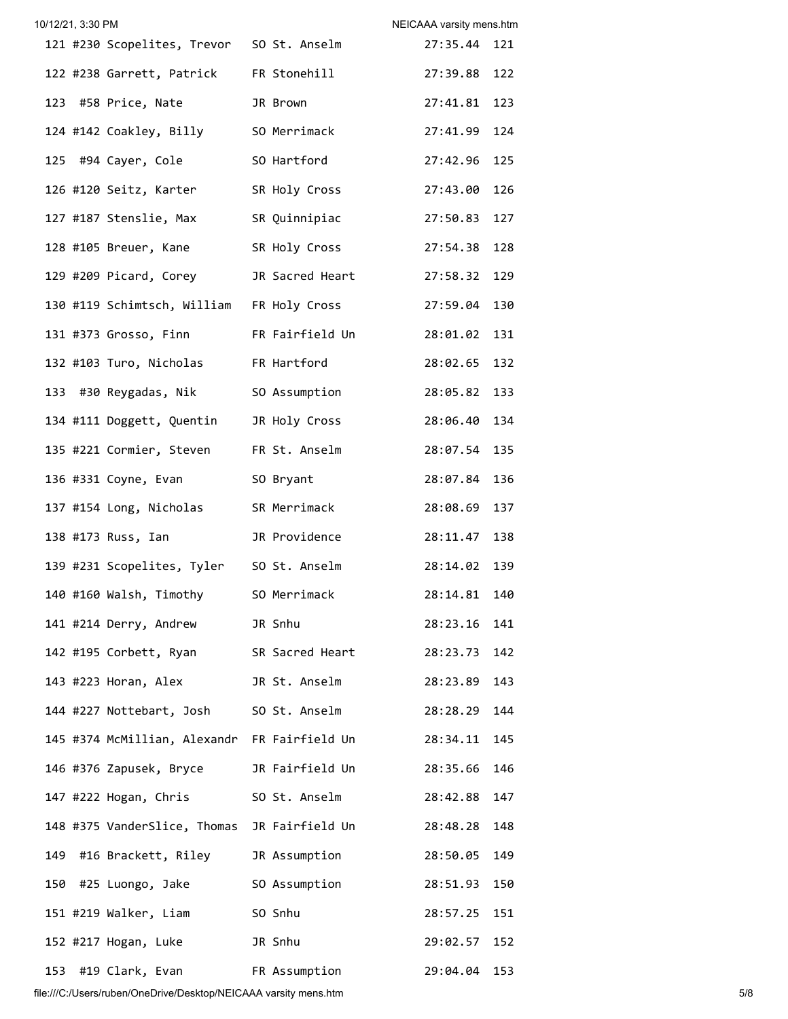| 10/12/21, 3:30 PM |                                               |               | NEICAAA varsity mens.htm |     |
|-------------------|-----------------------------------------------|---------------|--------------------------|-----|
|                   | 121 #230 Scopelites, Trevor 50 St. Anselm     |               | 27:35.44 121             |     |
|                   | 122 #238 Garrett, Patrick FR Stonehill        |               | 27:39.88 122             |     |
|                   | 123 #58 Price, Nate                           | JR Brown      | 27:41.81 123             |     |
|                   | 124 #142 Coakley, Billy SO Merrimack          |               | 27:41.99 124             |     |
|                   | 125 #94 Cayer, Cole 50 Hartford               |               | 27:42.96 125             |     |
|                   | 126 #120 Seitz, Karter SR Holy Cross          |               | 27:43.00 126             |     |
|                   | 127 #187 Stenslie, Max                        | SR Quinnipiac | 27:50.83 127             |     |
|                   | 128 #105 Breuer, Kane SR Holy Cross           |               | 27:54.38 128             |     |
|                   | 129 #209 Picard, Corey JR Sacred Heart        |               | 27:58.32 129             |     |
|                   | 130 #119 Schimtsch, William FR Holy Cross     |               | 27:59.04 130             |     |
|                   | 131 #373 Grosso, Finn FR Fairfield Un         |               | 28:01.02 131             |     |
|                   | 132 #103 Turo, Nicholas                       | FR Hartford   | 28:02.65 132             |     |
|                   | 133 #30 Reygadas, Nik SO Assumption           |               | 28:05.82 133             |     |
|                   | 134 #111 Doggett, Quentin JR Holy Cross       |               | 28:06.40 134             |     |
|                   | 135 #221 Cormier, Steven FR St. Anselm        |               | 28:07.54 135             |     |
|                   | 136 #331 Coyne, Evan SO Bryant                |               | 28:07.84 136             |     |
|                   | 137 #154 Long, Nicholas SR Merrimack          |               | 28:08.69 137             |     |
|                   | 138 #173 Russ, Ian JR Providence              |               | 28:11.47 138             |     |
|                   | 139 #231 Scopelites, Tyler 50 St. Anselm      |               | 28:14.02 139             |     |
|                   | 140 #160 Walsh, Timothy SO Merrimack          |               | 28:14.81 140             |     |
|                   | 141 #214 Derry, Andrew JR Snhu                |               | 28:23.16 141             |     |
|                   | 142 #195 Corbett, Ryan SR Sacred Heart        |               | 28:23.73 142             |     |
|                   | 143 #223 Horan, Alex JR St. Anselm            |               | 28:23.89 143             |     |
|                   | 144 #227 Nottebart, Josh SO St. Anselm        |               | 28:28.29 144             |     |
|                   | 145 #374 McMillian, Alexandr FR Fairfield Un  |               | 28:34.11 145             |     |
|                   | 146 #376 Zapusek, Bryce       JR Fairfield Un |               | 28:35.66 146             |     |
|                   | 147 #222 Hogan, Chris SO St. Anselm           |               | 28:42.88 147             |     |
|                   | 148 #375 VanderSlice, Thomas JR Fairfield Un  |               | 28:48.28 148             |     |
|                   | 149 #16 Brackett, Riley JR Assumption         |               | 28:50.05                 | 149 |
|                   | 150 #25 Luongo, Jake SO Assumption            |               | 28:51.93 150             |     |
|                   | 151 #219 Walker, Liam SO Snhu                 |               | 28:57.25 151             |     |
|                   | 152 #217 Hogan, Luke JR Snhu                  |               | 29:02.57 152             |     |
|                   | 153 #19 Clark, Evan FR Assumption             |               | 29:04.04 153             |     |

file:///C:/Users/ruben/OneDrive/Desktop/NEICAAA varsity mens.htm 5/8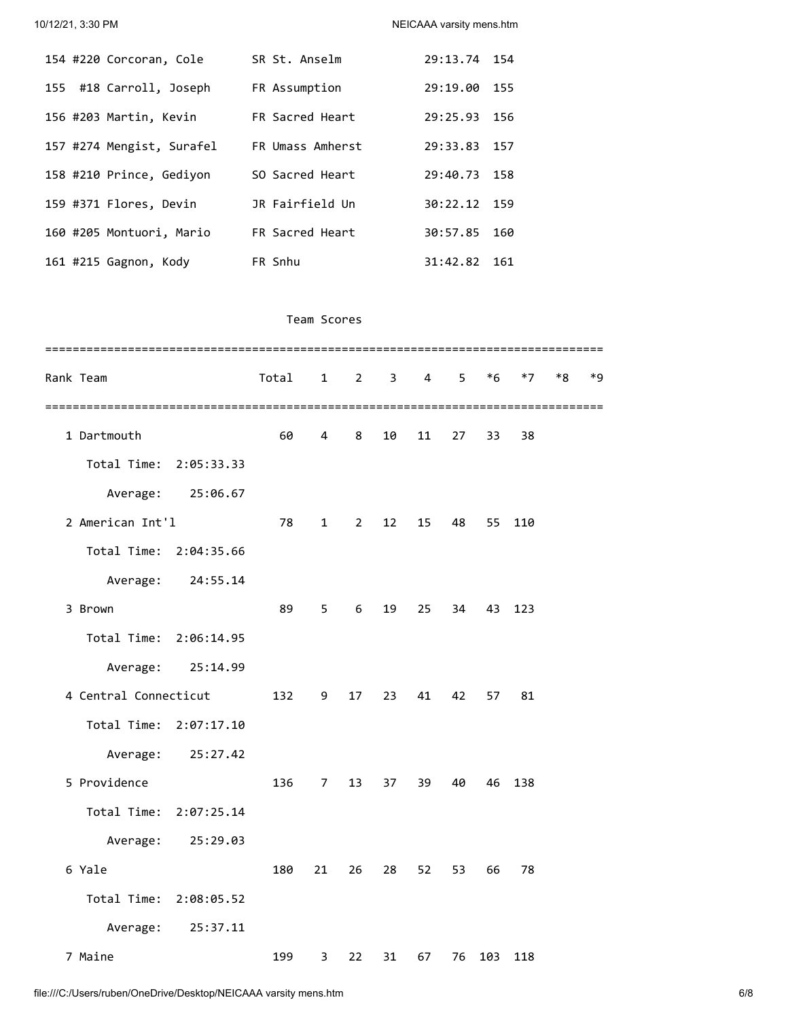10/12/21, 3:30 PM NEICAAA varsity mens.htm

|  | 154 #220 Corcoran, Cole   | SR St. Anselm    | 29:13.74 154 |     |
|--|---------------------------|------------------|--------------|-----|
|  | 155 #18 Carroll, Joseph   | FR Assumption    | 29:19.00     | 155 |
|  | 156 #203 Martin, Kevin    | FR Sacred Heart  | 29:25.93     | 156 |
|  | 157 #274 Mengist, Surafel | FR Umass Amherst | 29:33.83     | 157 |
|  | 158 #210 Prince, Gediyon  | SO Sacred Heart  | 29:40.73 158 |     |
|  | 159 #371 Flores, Devin    | JR Fairfield Un  | 30:22.12 159 |     |
|  | 160 #205 Montuori, Mario  | FR Sacred Heart  | 30:57.85     | 160 |
|  | 161 #215 Gagnon, Kody     | FR Snhu          | 31:42.82     | 161 |

## Team Scores

|       | Rank Team              |                   | Total | $\mathbf{1}$   | $\overline{2}$ | 3  | 4  | 5. | $*6$ | $*7$ | $*8$ | *9 |
|-------|------------------------|-------------------|-------|----------------|----------------|----|----|----|------|------|------|----|
| ===== | 1 Dartmouth            |                   | 60    | 4              | 8              | 10 | 11 | 27 | 33   | 38   |      |    |
|       | Total Time:            | 2:05:33.33        |       |                |                |    |    |    |      |      |      |    |
|       | Average:               | 25:06.67          |       |                |                |    |    |    |      |      |      |    |
|       | 2 American Int'l       |                   | 78    | $\mathbf{1}$   | $\overline{2}$ | 12 | 15 | 48 | 55   | 110  |      |    |
|       | Total Time: 2:04:35.66 |                   |       |                |                |    |    |    |      |      |      |    |
|       | Average:               | 24:55.14          |       |                |                |    |    |    |      |      |      |    |
|       | 3 Brown                |                   | 89    | 5              | 6              | 19 | 25 | 34 | 43   | 123  |      |    |
|       | Total Time: 2:06:14.95 |                   |       |                |                |    |    |    |      |      |      |    |
|       |                        | Average: 25:14.99 |       |                |                |    |    |    |      |      |      |    |
|       | 4 Central Connecticut  |                   | 132   | 9              | 17             | 23 | 41 | 42 | 57   | 81   |      |    |
|       | Total Time: 2:07:17.10 |                   |       |                |                |    |    |    |      |      |      |    |
|       | Average:               | 25:27.42          |       |                |                |    |    |    |      |      |      |    |
|       | 5 Providence           |                   | 136   | $\overline{7}$ | 13             | 37 | 39 | 40 | 46   | 138  |      |    |
|       | Total Time:            | 2:07:25.14        |       |                |                |    |    |    |      |      |      |    |
|       | Average:               | 25:29.03          |       |                |                |    |    |    |      |      |      |    |
|       | 6 Yale                 |                   | 180   | 21             | 26             | 28 | 52 | 53 | 66   | 78   |      |    |
|       | Total Time:            | 2:08:05.52        |       |                |                |    |    |    |      |      |      |    |
|       | Average:               | 25:37.11          |       |                |                |    |    |    |      |      |      |    |
|       | 7 Maine                |                   | 199   | 3              | 22             | 31 | 67 | 76 | 103  | 118  |      |    |
|       |                        |                   |       |                |                |    |    |    |      |      |      |    |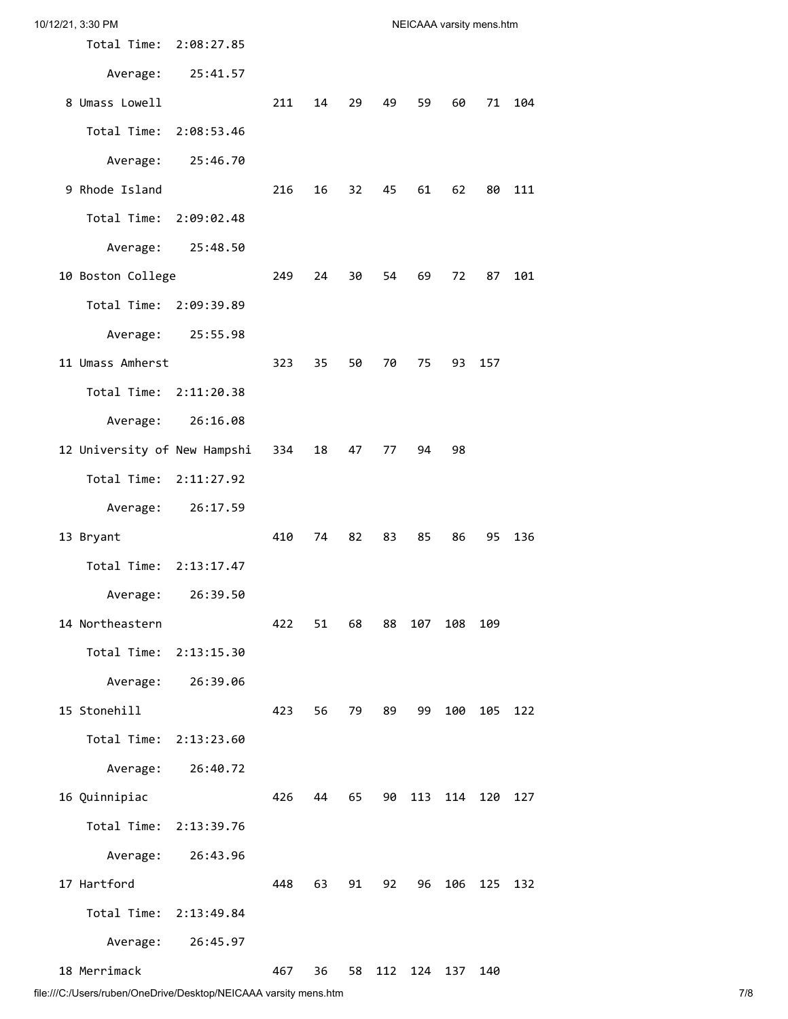| 10/12/21, 3:30 PM                |     |      |      |      |      | NEICAAA varsity mens.htm |     |     |
|----------------------------------|-----|------|------|------|------|--------------------------|-----|-----|
| Total Time: 2:08:27.85           |     |      |      |      |      |                          |     |     |
| Average:<br>25:41.57             |     |      |      |      |      |                          |     |     |
| 8 Umass Lowell                   | 211 | 14   | 29   | 49   | 59   | 60                       | 71  | 104 |
| Total Time:<br>2:08:53.46        |     |      |      |      |      |                          |     |     |
| Average:<br>25:46.70             |     |      |      |      |      |                          |     |     |
| 9 Rhode Island                   | 216 | 16   | 32   | 45   | 61   | 62                       | 80  | 111 |
| Total Time:<br>2:09:02.48        |     |      |      |      |      |                          |     |     |
| Average:<br>25:48.50             |     |      |      |      |      |                          |     |     |
| 10 Boston College                | 249 | 24   | 30   | 54   | 69   | 72                       | 87  | 101 |
| Total Time: 2:09:39.89           |     |      |      |      |      |                          |     |     |
| Average:<br>25:55.98             |     |      |      |      |      |                          |     |     |
| 11 Umass Amherst                 | 323 | 35   | 50   | 70   | 75 — | 93                       | 157 |     |
| Total Time: 2:11:20.38           |     |      |      |      |      |                          |     |     |
| Average:<br>26:16.08             |     |      |      |      |      |                          |     |     |
| 12 University of New Hampshi 334 |     | 18   | 47   | 77   | 94   | 98                       |     |     |
| Total Time:<br>2:11:27.92        |     |      |      |      |      |                          |     |     |
| Average:<br>26:17.59             |     |      |      |      |      |                          |     |     |
| 13 Bryant                        | 410 | 74   | 82   | 83   | 85   | 86                       | 95  | 136 |
| Total Time: 2:13:17.47           |     |      |      |      |      |                          |     |     |
| Average:<br>26:39.50             |     |      |      |      |      |                          |     |     |
| 14 Northeastern                  | 422 | 51   | 68   | 88   | 107  | 108                      | 109 |     |
| Total Time:<br>2:13:15.30        |     |      |      |      |      |                          |     |     |
| Average:<br>26:39.06             |     |      |      |      |      |                          |     |     |
| 15 Stonehill                     | 423 | 56 - | 79 — | 89 - | 99   | 100                      | 105 | 122 |
| Total Time:<br>2:13:23.60        |     |      |      |      |      |                          |     |     |
| Average:<br>26:40.72             |     |      |      |      |      |                          |     |     |
| 16 Quinnipiac                    | 426 | 44   | 65   | 90   | 113  | 114                      | 120 | 127 |
| Total Time:<br>2:13:39.76        |     |      |      |      |      |                          |     |     |
| Average:<br>26:43.96             |     |      |      |      |      |                          |     |     |
| 17 Hartford                      | 448 | 63   | 91   | 92   | 96   | 106                      | 125 | 132 |
| Total Time: 2:13:49.84           |     |      |      |      |      |                          |     |     |
| 26:45.97<br>Average:             |     |      |      |      |      |                          |     |     |
| 18 Merrimack                     | 467 | 36   | 58   | 112  | 124  | 137                      | 140 |     |

file:///C:/Users/ruben/OneDrive/Desktop/NEICAAA varsity mens.htm 7/8